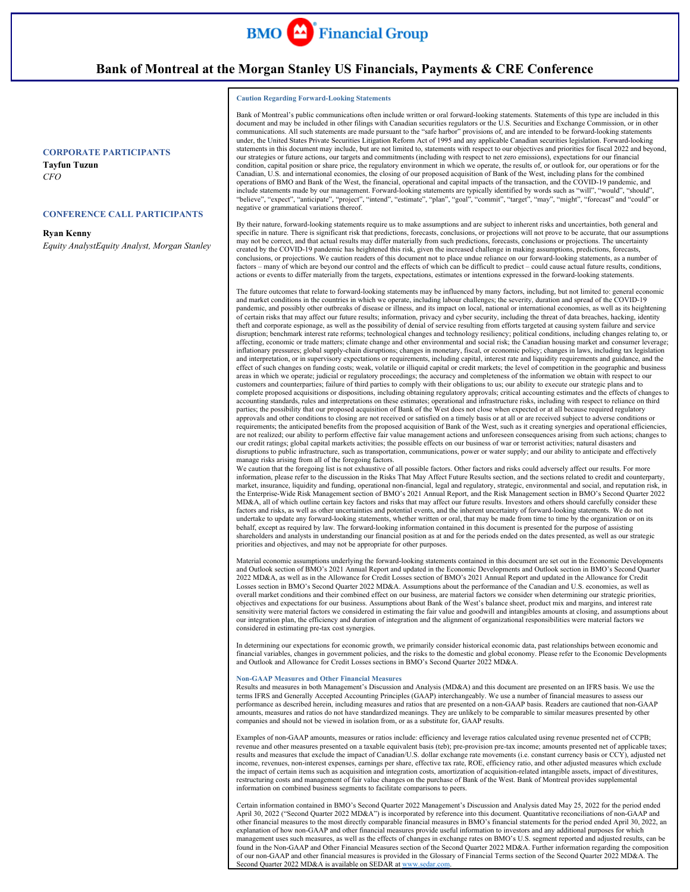

# **Conference Bank of Montreal at the Morgan Stanley US Financials, Payments & CRE Conference**

# **Caution Regarding Forward-Looking Statements**

**CORPORATE PARTICIPANTS**

**Tayfun Tuzun** *CFO*

#### **CONFERENCE CALL PARTICIPANTS**

**Ryan Kenny**

*Equity AnalystEquity Analyst, Morgan Stanley*

Bank of Montreal's public communications often include written or oral forward-looking statements. Statements of this type are included in this document and may be included in other filings with Canadian securities regulators or the U.S. Securities and Exchange Commission, or in other communications. All such statements are made pursuant to the "safe harbor" provisions of, and are intended to be forward-looking statements<br>under, the United States Private Securities Litigation Reform Act of 1995 and any statements in this document may include, but are not limited to, statements with respect to our objectives and priorities for fiscal 2022 and beyond, our strategies or future actions, our targets and commitments (including with respect to net zero emissions), expectations for our financial condition, capital position or share price, the regulatory environment in which we operate, the results of, or outlook for, our operations or for the Canadian, U.S. and international economies, the closing of our proposed acquisition of Bank of the West, including plans for the combined operations of BMO and Bank of the West, the financial, operational and capital impacts of the transaction, and the COVID-19 pandemic, and include statements made by our management. Forward-looking statements are typically identified by words such as "will", "would", "should", "believe", "expect", "anticipate", "project", "intend", "estimate", "plan", "goal", "commit", "target", "may", "might", "forecast" and "could" or negative or grammatical variations thereof.

Expectations or events to differ materially from the targets, expectations or events to differ materially from the targets, expectations, estimates or intentions expressed in the forward-looking statements. By their nature, forward-looking statements require us to make assumptions and are subject to inherent risks and uncertainties, both general and specific in nature. There is significant risk that predictions, forecasts, conclusions, or projections will not prove to be accurate, that our assumptions<br>may not be correct, and that actual results may differ materially f created by the COVID-19 pandemic has heightened this risk, given the increased challenge in making assumptions, predictions, forecasts, conclusions, or projections. We caution readers of this document not to place undue reliance on our forward-looking statements, as a number of factors – many of which are beyond our control and the effects of which can be difficult to predict – could cause actual future results, conditions,

of certain risks that may affect our future results; information, privacy and cyber security, including the threat of data breaches, hacking, identity theft and corporate espionage, as well as the possibility of denial of The future outcomes that relate to forward-looking statements may be influenced by many factors, including, but not limited to: general economic and market conditions in the countries in which we operate, including labour challenges; the severity, duration and spread of the COVID-19 pandemic, and possibly other outbreaks of disease or illness, and its impact on local, national or international economies, as well as its heightening theft and corporate espionage, as well as the possibility of denial of service resulting from efforts targeted at causing system failure and service disruption; benchmark interest rate reforms; technological changes and technology resiliency; political conditions, including changes relating to, or affecting, economic or trade matters; climate change and other environmental and social risk; the Canadian housing market and consumer leverage; inflationary pressures; global supply-chain disruptions; changes in monetary, fiscal, or economic policy; changes in laws, including tax legislation and interpretation, or in supervisory expectations or requirements, including capital, interest rate and liquidity requirements and guidance, and the effect of such changes on funding costs; weak, volatile or illiquid capital or credit markets; the level of competition in the geographic and business areas in which we operate; judicial or regulatory proceedings; the accuracy and completeness of the information we obtain with respect to our<br>customers and counterparties; failure of third parties to comply with their obli complete proposed acquisitions or dispositions, including obtaining regulatory approvals; critical accounting estimates and the effects of changes to accounting standards, rules and interpretations on these estimates; operational and infrastructure risks, including with respect to reliance on third parties; the possibility that our proposed acquisition of Bank of the West does not close when expected or at all because required regulatory approvals and other conditions to closing are not received or satisfied on a timely basis or at all or are received subject to adverse conditions or requirements; the anticipated benefits from the proposed acquisition of Bank of the West, such as it creating synergies and operational efficiencies, are not realized; our ability to perform effective fair value management actions and unforeseen consequences arising from such actions; changes to our credit ratings; global capital markets activities; the possible effects on our business of war or terrorist activities; natural disasters and disruptions to public infrastructure, such as transportation, communications, power or water supply; and our ability to anticipate and effectively manage risks arising from all of the foregoing factors.

We caution that the foregoing list is not exhaustive of all possible factors. Other factors and risks could adversely affect our results. For more information, please refer to the discussion in the Risks That May Affect Future Results section, and the sections related to credit and counterparty,<br>market, insurance, liquidity and funding, operational non-financial, leg the Enterprise-Wide Risk Management section of BMO's 2021 Annual Report, and the Risk Management section in BMO's Second Quarter 2022 MD&A, all of which outline certain key factors and risks that may affect our future results. Investors and others should carefully consider these factors and risks, as well as other uncertainties and potential events, and the inherent uncertainty of forward-looking statements. We do not undertake to update any forward-looking statements, whether written or oral, that may be made from time to time by the organization or on its behalf, except as required by law. The forward-looking information contained in this document is presented for the purpose of assisting shareholders and analysts in understanding our financial position as at and for the periods ended on the dates presented, as well as our strategic priorities and objectives, and may not be appropriate for other purposes.

Material economic assumptions underlying the forward-looking statements contained in this document are set out in the Economic Developments and Outlook section of BMO's 2021 Annual Report and updated in the Economic Developments and Outlook section in BMO's Second Quarter 2022 MD&A, as well as in the Allowance for Credit Losses section of BMO's 2021 Annual Report and updated in the Allowance for Credit Losses section in BMO's Second Quarter 2022 MD&A. Assumptions about the performance of the Canadian and U.S. economies, as well as overall market conditions and their combined effect on our business, are material factors we consider when determining our strategic priorities, objectives and expectations for our business. Assumptions about Bank of the West's balance sheet, product mix and margins, and interest rate sensitivity were material factors we considered in estimating the fair value and goodwill and intangibles amounts at closing, and assumptions about our integration plan, the efficiency and duration of integration and the alignment of organizational responsibilities were material factors we considered in estimating pre-tax cost synergies.

In determining our expectations for economic growth, we primarily consider historical economic data, past relationships between economic and financial variables, changes in government policies, and the risks to the domestic and global economy. Please refer to the Economic Developments and Outlook and Allowance for Credit Losses sections in BMO's Second Quarter 2022 MD&A.

#### **Non-GAAP Measures and Other Financial Measures**

Results and measures in both Management's Discussion and Analysis (MD&A) and this document are presented on an IFRS basis. We use the terms IFRS and Generally Accepted Accounting Principles (GAAP) interchangeably. We use a number of financial measures to assess our performance as described herein, including measures and ratios that are presented on a non-GAAP basis. Readers are cautioned that non-GAAP amounts, measures and ratios do not have standardized meanings. They are unlikely to be comparable to similar measures presented by other companies and should not be viewed in isolation from, or as a substitute for, GAAP results.

Examples of non-GAAP amounts, measures or ratios include: efficiency and leverage ratios calculated using revenue presented net of CCPB; revenue and other measures presented on a taxable equivalent basis (teb); pre-provision pre-tax income; amounts presented net of applicable taxes; results and measures that exclude the impact of Canadian/U.S. dollar exchange rate movements (i.e. constant currency basis or  $CCY$ ), adjusted net income, revenues, non-interest expenses, earnings per share, effective tax rate, ROE, efficiency ratio, and other adjusted measures which exclude the impact of certain items such as acquisition and integration costs, amortization of acquisition-related intangible assets, impact of divestitures, restructuring costs and management of fair value changes on the purchase of Bank of the West. Bank of Montreal provides supplemental information on combined business segments to facilitate comparisons to peers.

Certain information contained in BMO's Second Quarter 2022 Management's Discussion and Analysis dated May 25, 2022 for the period ended April 30, 2022 ("Second Quarter 2022 MD&A") is incorporated by reference into this document. Quantitative reconciliations of non-GAAP and other financial measures to the most directly comparable financial measures in BMO's financial statements for the period ended April 30, 2022, an explanation of how non-GAAP and other financial measures provide useful information to investors and any additional purposes for which management uses such measures, as well as the effects of changes in exchange rates on BMO's U.S. segment reported and adjusted results, can be found in the Non-GAAP and Other Financial Measures section of the Second Quarter 2022 MD&A. Further information regarding the composition of our non-GAAP and other financial measures is provided in the Glossary of Financial Terms section of the Second Quarter 2022 MD&A. The Second Quarter 2022 MD&A is available on SEDAR at www.sedar.com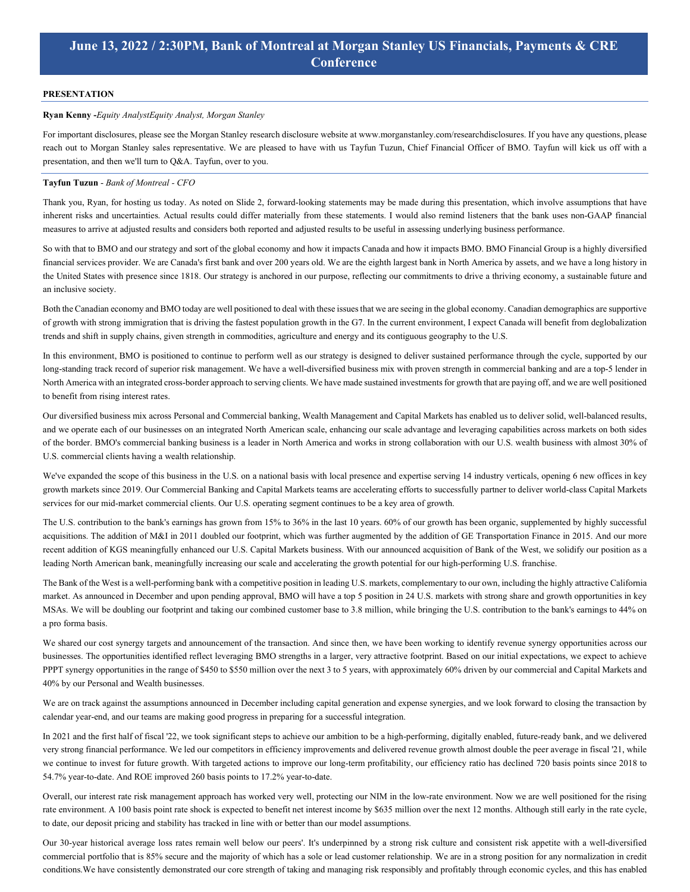# **PRESENTATION**

# **Ryan Kenny -***Equity AnalystEquity Analyst, Morgan Stanley*

For important disclosures, please see the Morgan Stanley research disclosure website at www.morganstanley.com/researchdisclosures. If you have any questions, please reach out to Morgan Stanley sales representative. We are pleased to have with us Tayfun Tuzun, Chief Financial Officer of BMO. Tayfun will kick us off with a presentation, and then we'll turn to Q&A. Tayfun, over to you.

# **Tayfun Tuzun** - *Bank of Montreal - CFO*

Thank you, Ryan, for hosting us today. As noted on Slide 2, forward-looking statements may be made during this presentation, which involve assumptions that have inherent risks and uncertainties. Actual results could differ materially from these statements. I would also remind listeners that the bank uses non-GAAP financial measures to arrive at adjusted results and considers both reported and adjusted results to be useful in assessing underlying business performance.

So with that to BMO and our strategy and sort of the global economy and how it impacts Canada and how it impacts BMO. BMO Financial Group is a highly diversified financial services provider. We are Canada's first bank and over 200 years old. We are the eighth largest bank in North America by assets, and we have a long history in the United States with presence since 1818. Our strategy is anchored in our purpose, reflecting our commitments to drive a thriving economy, a sustainable future and an inclusive society.

Both the Canadian economy and BMO today are well positioned to deal with these issues that we are seeing in the global economy. Canadian demographics are supportive of growth with strong immigration that is driving the fastest population growth in the G7. In the current environment, I expect Canada will benefit from deglobalization trends and shift in supply chains, given strength in commodities, agriculture and energy and its contiguous geography to the U.S.

In this environment, BMO is positioned to continue to perform well as our strategy is designed to deliver sustained performance through the cycle, supported by our long-standing track record of superior risk management. We have a well-diversified business mix with proven strength in commercial banking and are a top-5 lender in North America with an integrated cross-border approach to serving clients. We have made sustained investments for growth that are paying off, and we are well positioned to benefit from rising interest rates.

Our diversified business mix across Personal and Commercial banking, Wealth Management and Capital Markets has enabled us to deliver solid, well-balanced results, and we operate each of our businesses on an integrated North American scale, enhancing our scale advantage and leveraging capabilities across markets on both sides of the border. BMO's commercial banking business is a leader in North America and works in strong collaboration with our U.S. wealth business with almost 30% of U.S. commercial clients having a wealth relationship.

We've expanded the scope of this business in the U.S. on a national basis with local presence and expertise serving 14 industry verticals, opening 6 new offices in key growth markets since 2019. Our Commercial Banking and Capital Markets teams are accelerating efforts to successfully partner to deliver world-class Capital Markets services for our mid-market commercial clients. Our U.S. operating segment continues to be a key area of growth.

The U.S. contribution to the bank's earnings has grown from 15% to 36% in the last 10 years. 60% of our growth has been organic, supplemented by highly successful acquisitions. The addition of M&I in 2011 doubled our footprint, which was further augmented by the addition of GE Transportation Finance in 2015. And our more recent addition of KGS meaningfully enhanced our U.S. Capital Markets business. With our announced acquisition of Bank of the West, we solidify our position as a leading North American bank, meaningfully increasing our scale and accelerating the growth potential for our high-performing U.S. franchise.

The Bank of the West is a well-performing bank with a competitive position in leading U.S. markets, complementary to our own, including the highly attractive California market. As announced in December and upon pending approval, BMO will have a top 5 position in 24 U.S. markets with strong share and growth opportunities in key MSAs. We will be doubling our footprint and taking our combined customer base to 3.8 million, while bringing the U.S. contribution to the bank's earnings to 44% on a pro forma basis.

We shared our cost synergy targets and announcement of the transaction. And since then, we have been working to identify revenue synergy opportunities across our businesses. The opportunities identified reflect leveraging BMO strengths in a larger, very attractive footprint. Based on our initial expectations, we expect to achieve PPPT synergy opportunities in the range of \$450 to \$550 million over the next 3 to 5 years, with approximately 60% driven by our commercial and Capital Markets and 40% by our Personal and Wealth businesses.

We are on track against the assumptions announced in December including capital generation and expense synergies, and we look forward to closing the transaction by calendar year-end, and our teams are making good progress in preparing for a successful integration.

In 2021 and the first half of fiscal '22, we took significant steps to achieve our ambition to be a high-performing, digitally enabled, future-ready bank, and we delivered very strong financial performance. We led our competitors in efficiency improvements and delivered revenue growth almost double the peer average in fiscal '21, while we continue to invest for future growth. With targeted actions to improve our long-term profitability, our efficiency ratio has declined 720 basis points since 2018 to 54.7% year-to-date. And ROE improved 260 basis points to 17.2% year-to-date.

Overall, our interest rate risk management approach has worked very well, protecting our NIM in the low-rate environment. Now we are well positioned for the rising rate environment. A 100 basis point rate shock is expected to benefit net interest income by \$635 million over the next 12 months. Although still early in the rate cycle, to date, our deposit pricing and stability has tracked in line with or better than our model assumptions.

Our 30-year historical average loss rates remain well below our peers'. It's underpinned by a strong risk culture and consistent risk appetite with a well-diversified commercial portfolio that is 85% secure and the majority of which has a sole or lead customer relationship. We are in a strong position for any normalization in credit conditions.We have consistently demonstrated our core strength of taking and managing risk responsibly and profitably through economic cycles, and this has enabled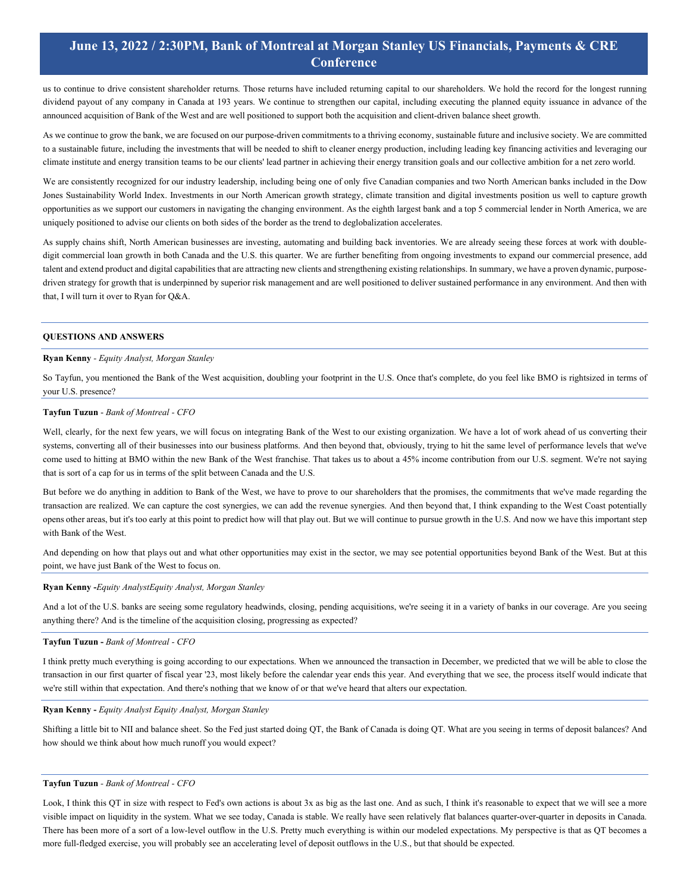us to continue to drive consistent shareholder returns. Those returns have included returning capital to our shareholders. We hold the record for the longest running dividend payout of any company in Canada at 193 years. We continue to strengthen our capital, including executing the planned equity issuance in advance of the announced acquisition of Bank of the West and are well positioned to support both the acquisition and client-driven balance sheet growth.

As we continue to grow the bank, we are focused on our purpose-driven commitments to a thriving economy, sustainable future and inclusive society. We are committed to a sustainable future, including the investments that will be needed to shift to cleaner energy production, including leading key financing activities and leveraging our climate institute and energy transition teams to be our clients' lead partner in achieving their energy transition goals and our collective ambition for a net zero world.

We are consistently recognized for our industry leadership, including being one of only five Canadian companies and two North American banks included in the Dow Jones Sustainability World Index. Investments in our North American growth strategy, climate transition and digital investments position us well to capture growth opportunities as we support our customers in navigating the changing environment. As the eighth largest bank and a top 5 commercial lender in North America, we are uniquely positioned to advise our clients on both sides of the border as the trend to deglobalization accelerates.

As supply chains shift, North American businesses are investing, automating and building back inventories. We are already seeing these forces at work with doubledigit commercial loan growth in both Canada and the U.S. this quarter. We are further benefiting from ongoing investments to expand our commercial presence, add talent and extend product and digital capabilities that are attracting new clients and strengthening existing relationships. In summary, we have a proven dynamic, purposedriven strategy for growth that is underpinned by superior risk management and are well positioned to deliver sustained performance in any environment. And then with that, I will turn it over to Ryan for Q&A.

# **QUESTIONS AND ANSWERS**

# **Ryan Kenny** *- Equity Analyst, Morgan Stanley*

So Tayfun, you mentioned the Bank of the West acquisition, doubling your footprint in the U.S. Once that's complete, do you feel like BMO is rightsized in terms of your U.S. presence?

#### **Tayfun Tuzun** - *Bank of Montreal - CFO*

Well, clearly, for the next few years, we will focus on integrating Bank of the West to our existing organization. We have a lot of work ahead of us converting their systems, converting all of their businesses into our business platforms. And then beyond that, obviously, trying to hit the same level of performance levels that we've come used to hitting at BMO within the new Bank of the West franchise. That takes us to about a 45% income contribution from our U.S. segment. We're not saying that is sort of a cap for us in terms of the split between Canada and the U.S.

But before we do anything in addition to Bank of the West, we have to prove to our shareholders that the promises, the commitments that we've made regarding the transaction are realized. We can capture the cost synergies, we can add the revenue synergies. And then beyond that, I think expanding to the West Coast potentially opens other areas, but it's too early at this point to predict how will that play out. But we will continue to pursue growth in the U.S. And now we have this important step with Bank of the West.

And depending on how that plays out and what other opportunities may exist in the sector, we may see potential opportunities beyond Bank of the West. But at this point, we have just Bank of the West to focus on.

# **Ryan Kenny -***Equity AnalystEquity Analyst, Morgan Stanley*

And a lot of the U.S. banks are seeing some regulatory headwinds, closing, pending acquisitions, we're seeing it in a variety of banks in our coverage. Are you seeing anything there? And is the timeline of the acquisition closing, progressing as expected?

#### **Tayfun Tuzun -** *Bank of Montreal - CFO*

I think pretty much everything is going according to our expectations. When we announced the transaction in December, we predicted that we will be able to close the transaction in our first quarter of fiscal year '23, most likely before the calendar year ends this year. And everything that we see, the process itself would indicate that we're still within that expectation. And there's nothing that we know of or that we've heard that alters our expectation.

#### **Ryan Kenny -** *Equity Analyst Equity Analyst, Morgan Stanley*

Shifting a little bit to NII and balance sheet. So the Fed just started doing QT, the Bank of Canada is doing QT. What are you seeing in terms of deposit balances? And how should we think about how much runoff you would expect?

# **Tayfun Tuzun** *- Bank of Montreal - CFO*

Look, I think this QT in size with respect to Fed's own actions is about 3x as big as the last one. And as such, I think it's reasonable to expect that we will see a more visible impact on liquidity in the system. What we see today, Canada is stable. We really have seen relatively flat balances quarter-over-quarter in deposits in Canada. There has been more of a sort of a low-level outflow in the U.S. Pretty much everything is within our modeled expectations. My perspective is that as QT becomes a more full-fledged exercise, you will probably see an accelerating level of deposit outflows in the U.S., but that should be expected.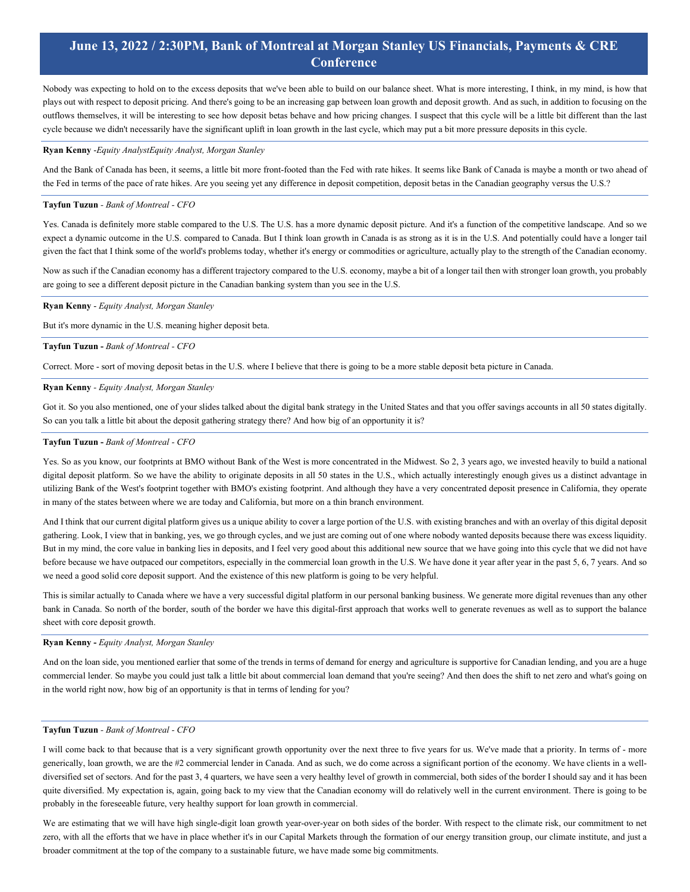Nobody was expecting to hold on to the excess deposits that we've been able to build on our balance sheet. What is more interesting, I think, in my mind, is how that plays out with respect to deposit pricing. And there's going to be an increasing gap between loan growth and deposit growth. And as such, in addition to focusing on the outflows themselves, it will be interesting to see how deposit betas behave and how pricing changes. I suspect that this cycle will be a little bit different than the last cycle because we didn't necessarily have the significant uplift in loan growth in the last cycle, which may put a bit more pressure deposits in this cycle.

#### **Ryan Kenny** -*Equity AnalystEquity Analyst, Morgan Stanley*

And the Bank of Canada has been, it seems, a little bit more front-footed than the Fed with rate hikes. It seems like Bank of Canada is maybe a month or two ahead of the Fed in terms of the pace of rate hikes. Are you seeing yet any difference in deposit competition, deposit betas in the Canadian geography versus the U.S.?

# **Tayfun Tuzun** *- Bank of Montreal - CFO*

Yes. Canada is definitely more stable compared to the U.S. The U.S. has a more dynamic deposit picture. And it's a function of the competitive landscape. And so we expect a dynamic outcome in the U.S. compared to Canada. But I think loan growth in Canada is as strong as it is in the U.S. And potentially could have a longer tail given the fact that I think some of the world's problems today, whether it's energy or commodities or agriculture, actually play to the strength of the Canadian economy.

Now as such if the Canadian economy has a different trajectory compared to the U.S. economy, maybe a bit of a longer tail then with stronger loan growth, you probably are going to see a different deposit picture in the Canadian banking system than you see in the U.S.

#### **Ryan Kenny** - *Equity Analyst, Morgan Stanley*

But it's more dynamic in the U.S. meaning higher deposit beta.

**Tayfun Tuzun -** *Bank of Montreal - CFO*

Correct. More - sort of moving deposit betas in the U.S. where I believe that there is going to be a more stable deposit beta picture in Canada.

# **Ryan Kenny** *- Equity Analyst, Morgan Stanley*

Got it. So you also mentioned, one of your slides talked about the digital bank strategy in the United States and that you offer savings accounts in all 50 states digitally. So can you talk a little bit about the deposit gathering strategy there? And how big of an opportunity it is?

#### **Tayfun Tuzun -** *Bank of Montreal - CFO*

Yes. So as you know, our footprints at BMO without Bank of the West is more concentrated in the Midwest. So 2, 3 years ago, we invested heavily to build a national digital deposit platform. So we have the ability to originate deposits in all 50 states in the U.S., which actually interestingly enough gives us a distinct advantage in utilizing Bank of the West's footprint together with BMO's existing footprint. And although they have a very concentrated deposit presence in California, they operate in many of the states between where we are today and California, but more on a thin branch environment.

And I think that our current digital platform gives us a unique ability to cover a large portion of the U.S. with existing branches and with an overlay of this digital deposit gathering. Look, I view that in banking, yes, we go through cycles, and we just are coming out of one where nobody wanted deposits because there was excess liquidity. But in my mind, the core value in banking lies in deposits, and I feel very good about this additional new source that we have going into this cycle that we did not have before because we have outpaced our competitors, especially in the commercial loan growth in the U.S. We have done it year after year in the past 5, 6, 7 years. And so we need a good solid core deposit support. And the existence of this new platform is going to be very helpful.

This is similar actually to Canada where we have a very successful digital platform in our personal banking business. We generate more digital revenues than any other bank in Canada. So north of the border, south of the border we have this digital-first approach that works well to generate revenues as well as to support the balance sheet with core deposit growth.

# **Ryan Kenny -** *Equity Analyst, Morgan Stanley*

And on the loan side, you mentioned earlier that some of the trends in terms of demand for energy and agriculture is supportive for Canadian lending, and you are a huge commercial lender. So maybe you could just talk a little bit about commercial loan demand that you're seeing? And then does the shift to net zero and what's going on in the world right now, how big of an opportunity is that in terms of lending for you?

# **Tayfun Tuzun** *- Bank of Montreal - CFO*

I will come back to that because that is a very significant growth opportunity over the next three to five years for us. We've made that a priority. In terms of - more generically, loan growth, we are the #2 commercial lender in Canada. And as such, we do come across a significant portion of the economy. We have clients in a welldiversified set of sectors. And for the past 3, 4 quarters, we have seen a very healthy level of growth in commercial, both sides of the border I should say and it has been quite diversified. My expectation is, again, going back to my view that the Canadian economy will do relatively well in the current environment. There is going to be probably in the foreseeable future, very healthy support for loan growth in commercial.

We are estimating that we will have high single-digit loan growth year-over-year on both sides of the border. With respect to the climate risk, our commitment to net zero, with all the efforts that we have in place whether it's in our Capital Markets through the formation of our energy transition group, our climate institute, and just a broader commitment at the top of the company to a sustainable future, we have made some big commitments.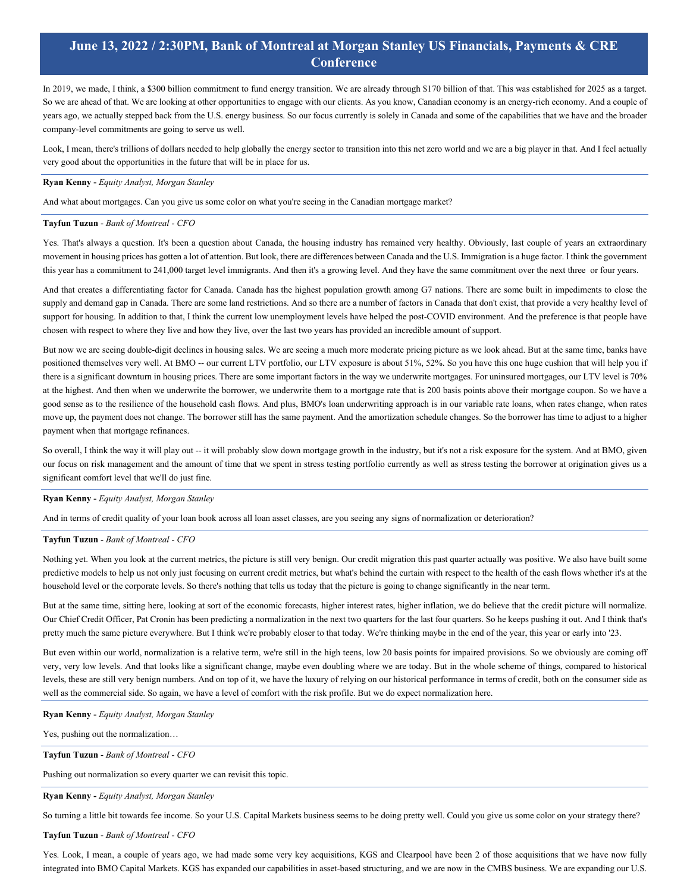In 2019, we made, I think, a \$300 billion commitment to fund energy transition. We are already through \$170 billion of that. This was established for 2025 as a target. So we are ahead of that. We are looking at other opportunities to engage with our clients. As you know, Canadian economy is an energy-rich economy. And a couple of years ago, we actually stepped back from the U.S. energy business. So our focus currently is solely in Canada and some of the capabilities that we have and the broader company-level commitments are going to serve us well.

Look, I mean, there's trillions of dollars needed to help globally the energy sector to transition into this net zero world and we are a big player in that. And I feel actually very good about the opportunities in the future that will be in place for us.

#### **Ryan Kenny -** *Equity Analyst, Morgan Stanley*

And what about mortgages. Can you give us some color on what you're seeing in the Canadian mortgage market?

#### **Tayfun Tuzun** - *Bank of Montreal - CFO*

Yes. That's always a question. It's been a question about Canada, the housing industry has remained very healthy. Obviously, last couple of years an extraordinary movement in housing prices has gotten a lot of attention. But look, there are differences between Canada and the U.S. Immigration is a huge factor. I think the government this year has a commitment to 241,000 target level immigrants. And then it's a growing level. And they have the same commitment over the next three or four years.

And that creates a differentiating factor for Canada. Canada has the highest population growth among G7 nations. There are some built in impediments to close the supply and demand gap in Canada. There are some land restrictions. And so there are a number of factors in Canada that don't exist, that provide a very healthy level of support for housing. In addition to that, I think the current low unemployment levels have helped the post-COVID environment. And the preference is that people have chosen with respect to where they live and how they live, over the last two years has provided an incredible amount of support.

But now we are seeing double-digit declines in housing sales. We are seeing a much more moderate pricing picture as we look ahead. But at the same time, banks have positioned themselves very well. At BMO -- our current LTV portfolio, our LTV exposure is about 51%, 52%. So you have this one huge cushion that will help you if there is a significant downturn in housing prices. There are some important factors in the way we underwrite mortgages. For uninsured mortgages, our LTV level is 70% at the highest. And then when we underwrite the borrower, we underwrite them to a mortgage rate that is 200 basis points above their mortgage coupon. So we have a good sense as to the resilience of the household cash flows. And plus, BMO's loan underwriting approach is in our variable rate loans, when rates change, when rates move up, the payment does not change. The borrower still has the same payment. And the amortization schedule changes. So the borrower has time to adjust to a higher payment when that mortgage refinances.

So overall, I think the way it will play out -- it will probably slow down mortgage growth in the industry, but it's not a risk exposure for the system. And at BMO, given our focus on risk management and the amount of time that we spent in stress testing portfolio currently as well as stress testing the borrower at origination gives us a significant comfort level that we'll do just fine.

# **Ryan Kenny -** *Equity Analyst, Morgan Stanley*

And in terms of credit quality of your loan book across all loan asset classes, are you seeing any signs of normalization or deterioration?

# **Tayfun Tuzun** - *Bank of Montreal - CFO*

Nothing yet. When you look at the current metrics, the picture is still very benign. Our credit migration this past quarter actually was positive. We also have built some predictive models to help us not only just focusing on current credit metrics, but what's behind the curtain with respect to the health of the cash flows whether it's at the household level or the corporate levels. So there's nothing that tells us today that the picture is going to change significantly in the near term.

But at the same time, sitting here, looking at sort of the economic forecasts, higher interest rates, higher inflation, we do believe that the credit picture will normalize. Our Chief Credit Officer, Pat Cronin has been predicting a normalization in the next two quarters for the last four quarters. So he keeps pushing it out. And I think that's pretty much the same picture everywhere. But I think we're probably closer to that today. We're thinking maybe in the end of the year, this year or early into '23.

But even within our world, normalization is a relative term, we're still in the high teens, low 20 basis points for impaired provisions. So we obviously are coming off very, very low levels. And that looks like a significant change, maybe even doubling where we are today. But in the whole scheme of things, compared to historical levels, these are still very benign numbers. And on top of it, we have the luxury of relying on our historical performance in terms of credit, both on the consumer side as well as the commercial side. So again, we have a level of comfort with the risk profile. But we do expect normalization here.

# **Ryan Kenny -** *Equity Analyst, Morgan Stanley*

Yes, pushing out the normalization…

**Tayfun Tuzun** - *Bank of Montreal - CFO*

Pushing out normalization so every quarter we can revisit this topic.

# **Ryan Kenny -** *Equity Analyst, Morgan Stanley*

So turning a little bit towards fee income. So your U.S. Capital Markets business seems to be doing pretty well. Could you give us some color on your strategy there?

**Tayfun Tuzun** - *Bank of Montreal - CFO*

Yes. Look, I mean, a couple of years ago, we had made some very key acquisitions, KGS and Clearpool have been 2 of those acquisitions that we have now fully integrated into BMO Capital Markets. KGS has expanded our capabilities in asset-based structuring, and we are now in the CMBS business. We are expanding our U.S.